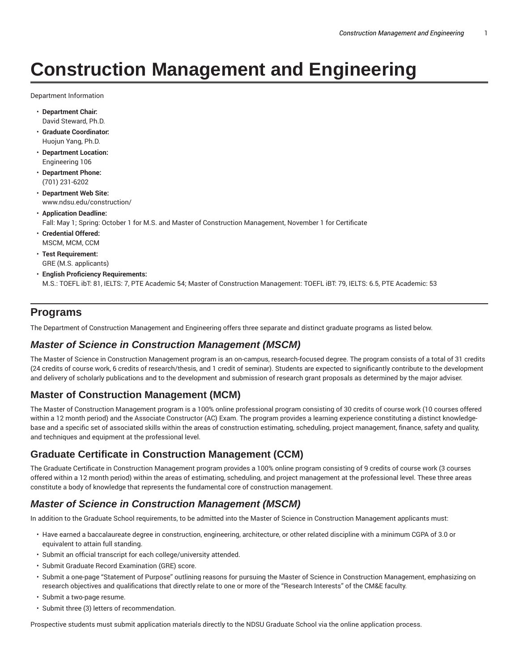# **Construction Management and Engineering**

Department Information

- **Department Chair:** David Steward, Ph.D.
- **Graduate Coordinator:** Huojun Yang, Ph.D.
- **Department Location:** Engineering 106
- **Department Phone:** (701) 231-6202
- **Department Web Site:** www.ndsu.edu/construction/
- **Application Deadline:** Fall: May 1; Spring: October 1 for M.S. and Master of Construction Management, November 1 for Certificate
- **Credential Offered:** MSCM, MCM, CCM
- **Test Requirement:** GRE (M.S. applicants)
- **English Proficiency Requirements:** M.S.: TOEFL ibT: 81, IELTS: 7, PTE Academic 54; Master of Construction Management: TOEFL iBT: 79, IELTS: 6.5, PTE Academic: 53

### **Programs**

The Department of Construction Management and Engineering offers three separate and distinct graduate programs as listed below.

### **Master of Science in Construction Management (MSCM)**

The Master of Science in Construction Management program is an on-campus, research-focused degree. The program consists of a total of 31 credits (24 credits of course work, 6 credits of research/thesis, and 1 credit of seminar). Students are expected to significantly contribute to the development and delivery of scholarly publications and to the development and submission of research grant proposals as determined by the major adviser.

# **Master of Construction Management (MCM)**

The Master of Construction Management program is a 100% online professional program consisting of 30 credits of course work (10 courses offered within a 12 month period) and the Associate Constructor (AC) Exam. The program provides a learning experience constituting a distinct knowledgebase and a specific set of associated skills within the areas of construction estimating, scheduling, project management, finance, safety and quality, and techniques and equipment at the professional level.

# **Graduate Certificate in Construction Management (CCM)**

The Graduate Certificate in Construction Management program provides a 100% online program consisting of 9 credits of course work (3 courses offered within a 12 month period) within the areas of estimating, scheduling, and project management at the professional level. These three areas constitute a body of knowledge that represents the fundamental core of construction management.

### **Master of Science in Construction Management (MSCM)**

In addition to the Graduate School requirements, to be admitted into the Master of Science in Construction Management applicants must:

- Have earned a baccalaureate degree in construction, engineering, architecture, or other related discipline with a minimum CGPA of 3.0 or equivalent to attain full standing.
- Submit an official transcript for each college/university attended.
- Submit Graduate Record Examination (GRE) score.
- Submit a one-page "Statement of Purpose" outlining reasons for pursuing the Master of Science in Construction Management, emphasizing on research objectives and qualifications that directly relate to one or more of the "Research Interests" of the CM&E faculty.
- Submit a two-page resume.
- Submit three (3) letters of recommendation.

Prospective students must submit application materials directly to the NDSU Graduate School via the online application process.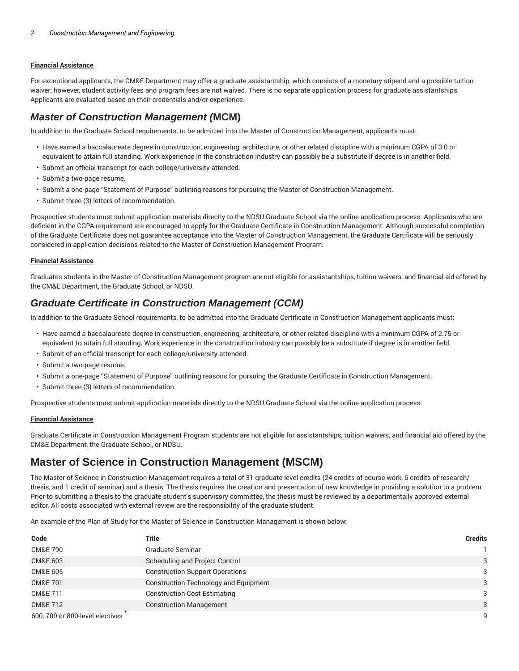#### **Financial Assistance**

For exceptional applicants, the CM&E Department may offer a graduate assistantship, which consists of a monetary stipend and a possible tuition waiver; however, student activity fees and program fees are not waived. There is no separate application process for graduate assistantships. Applicants are evaluated based on their credentials and/or experience.

### **Master of Construction Management (MCM)**

In addition to the Graduate School requirements, to be admitted into the Master of Construction Management, applicants must:

- Have earned a baccalaureate degree in construction, engineering, architecture, or other related discipline with a minimum CGPA of 3.0 or equivalent to attain full standing. Work experience in the construction industry can possibly be a substitute if degree is in another field.
- Submit an official transcript for each college/university attended.
- Submit a two-page resume.
- Submit a one-page "Statement of Purpose" outlining reasons for pursuing the Master of Construction Management.
- Submit three (3) letters of recommendation.

Prospective students must submit application materials directly to the NDSU Graduate School via the online application process. Applicants who are deficient in the CGPA requirement are encouraged to apply for the Graduate Certificate in Construction Management. Although successful completion of the Graduate Certificate does not guarantee acceptance into the Master of Construction Management, the Graduate Certificate will be seriously considered in application decisions related to the Master of Construction Management Program.

#### **Financial Assistance**

Graduates students in the Master of Construction Management program are not eligible for assistantships, tuition waivers, and financial aid offered by the CM&E Department, the Graduate School, or NDSU.

### **Graduate Certificate in Construction Management (CCM)**

In addition to the Graduate School requirements, to be admitted into the Graduate Certificate in Construction Management applicants must:

- Have earned a baccalaureate degree in construction, engineering, architecture, or other related discipline with a minimum CGPA of 2.75 or equivalent to attain full standing. Work experience in the construction industry can possibly be a substitute if degree is in another field.
- Submit of an official transcript for each college/university attended.
- Submit a two-page resume.
- Submit a one-page "Statement of Purpose" outlining reasons for pursuing the Graduate Certificate in Construction Management.
- Submit three (3) letters of recommendation.

Prospective students must submit application materials directly to the NDSU Graduate School via the online application process.

#### **Financial Assistance**

Graduate Certificate in Construction Management Program students are not eligible for assistantships, tuition waivers, and financial aid offered by the CM&E Department, the Graduate School, or NDSU.

### **Master of Science in Construction Management (MSCM)**

The Master of Science in Construction Management requires a total of 31 graduate-level credits (24 credits of course work, 6 credits of research/ thesis, and 1 credit of seminar) and a thesis. The thesis requires the creation and presentation of new knowledge in providing a solution to a problem. Prior to submitting a thesis to the graduate student's supervisory committee, the thesis must be reviewed by a departmentally approved external editor. All costs associated with external review are the responsibility of the graduate student.

An example of the Plan of Study for the Master of Science in Construction Management is shown below:

| Code                            | Title                                        | <b>Credits</b> |
|---------------------------------|----------------------------------------------|----------------|
| <b>CM&amp;E 790</b>             | Graduate Seminar                             |                |
| <b>CM&amp;E 603</b>             | Scheduling and Project Control               | 3              |
| <b>CM&amp;E 605</b>             | <b>Construction Support Operations</b>       | 3              |
| <b>CM&amp;E 701</b>             | <b>Construction Technology and Equipment</b> | 3              |
| CM&E 711                        | <b>Construction Cost Estimating</b>          | 3              |
| <b>CM&amp;E 712</b>             | <b>Construction Management</b>               | 3              |
| 600, 700 or 800-level electives |                                              |                |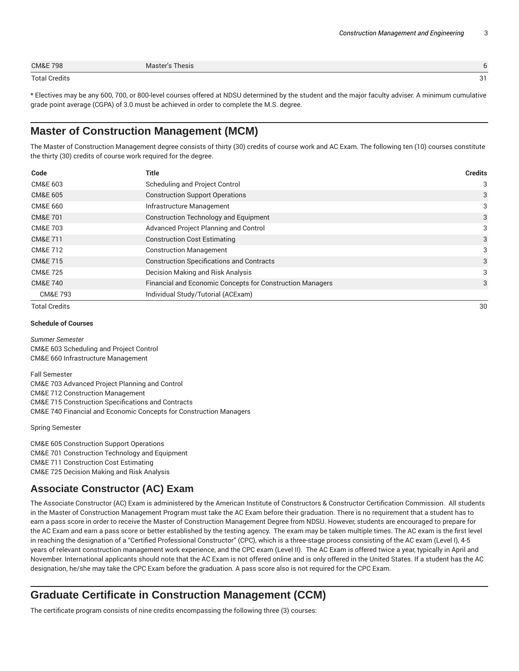| <b>CM&amp;E 798</b> | Master's Thesis |             |
|---------------------|-----------------|-------------|
| Total Credits       |                 | $\sim$<br>ັ |

\* Electives may be any 600, 700, or 800-level courses offered at NDSU determined by the student and the major faculty adviser. A minimum cumulative grade point average (CGPA) of 3.0 must be achieved in order to complete the M.S. degree.

# **Master of Construction Management (MCM)**

The Master of Construction Management degree consists of thirty (30) credits of course work and AC Exam. The following ten (10) courses constitute the thirty (30) credits of course work required for the degree.

| Code                 | <b>Title</b>                                              | <b>Credits</b> |
|----------------------|-----------------------------------------------------------|----------------|
| CM&E 603             | Scheduling and Project Control                            | 3              |
| <b>CM&amp;E 605</b>  | <b>Construction Support Operations</b>                    | 3              |
| CM&E 660             | Infrastructure Management                                 | 3              |
| <b>CM&amp;E 701</b>  | <b>Construction Technology and Equipment</b>              | 3              |
| <b>CM&amp;E 703</b>  | Advanced Project Planning and Control                     | 3              |
| CM&E 711             | <b>Construction Cost Estimating</b>                       | 3              |
| CM&E 712             | <b>Construction Management</b>                            | 3              |
| <b>CM&amp;E 715</b>  | <b>Construction Specifications and Contracts</b>          | 3              |
| <b>CM&amp;E 725</b>  | Decision Making and Risk Analysis                         | 3              |
| <b>CM&amp;E 740</b>  | Financial and Economic Concepts for Construction Managers | 3              |
| <b>CM&amp;E 793</b>  | Individual Study/Tutorial (ACExam)                        |                |
| <b>Total Credits</b> |                                                           | 30             |

#### **Schedule of Courses**

*Summer Semester* CM&E 603 Scheduling and Project Control CM&E 660 Infrastructure Management

Fall Semester CM&E 703 Advanced Project Planning and Control CM&E 712 Construction Management CM&E 715 Construction Specifications and Contracts CM&E 740 Financial and Economic Concepts for Construction Managers

Spring Semester

CM&E 605 Construction Support Operations CM&E 701 Construction Technology and Equipment CM&E 711 Construction Cost Estimating CM&E 725 Decision Making and Risk Analysis

# **Associate Constructor (AC) Exam**

The Associate Constructor (AC) Exam is administered by the American Institute of Constructors & Constructor Certification Commission. All students in the Master of Construction Management Program must take the AC Exam before their graduation. There is no requirement that a student has to earn a pass score in order to receive the Master of Construction Management Degree from NDSU. However, students are encouraged to prepare for the AC Exam and earn a pass score or better established by the testing agency. The exam may be taken multiple times. The AC exam is the first level in reaching the designation of a "Certified Professional Constructor" (CPC), which is a three-stage process consisting of the AC exam (Level I), 4-5 years of relevant construction management work experience, and the CPC exam (Level II). The AC Exam is offered twice a year, typically in April and November. International applicants should note that the AC Exam is not offered online and is only offered in the United States. If a student has the AC designation, he/she may take the CPC Exam before the graduation. A pass score also is not required for the CPC Exam.

# **Graduate Certificate in Construction Management (CCM)**

The certificate program consists of nine credits encompassing the following three (3) courses: